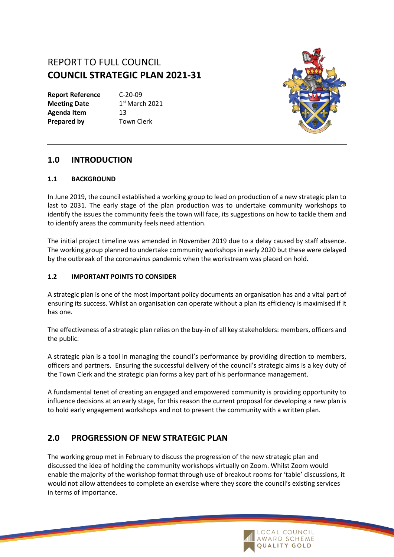# REPORT TO FULL COUNCIL **COUNCIL STRATEGIC PLAN 2021-31**

**Report Reference** C-20-09 **Meeting Date** Agenda Item 13 **Prepared by** Town Clerk

 $1<sup>st</sup>$  March 2021



## **1.0 INTRODUCTION**

#### **1.1 BACKGROUND**

In June 2019, the council established a working group to lead on production of a new strategic plan to last to 2031. The early stage of the plan production was to undertake community workshops to identify the issues the community feels the town will face, its suggestions on how to tackle them and to identify areas the community feels need attention.

The initial project timeline was amended in November 2019 due to a delay caused by staff absence. The working group planned to undertake community workshops in early 2020 but these were delayed by the outbreak of the coronavirus pandemic when the workstream was placed on hold.

#### **1.2 IMPORTANT POINTS TO CONSIDER**

A strategic plan is one of the most important policy documents an organisation has and a vital part of ensuring its success. Whilst an organisation can operate without a plan its efficiency is maximised if it has one.

The effectiveness of a strategic plan relies on the buy-in of all key stakeholders: members, officers and the public.

A strategic plan is a tool in managing the council's performance by providing direction to members, officers and partners. Ensuring the successful delivery of the council's strategic aims is a key duty of the Town Clerk and the strategic plan forms a key part of his performance management.

A fundamental tenet of creating an engaged and empowered community is providing opportunity to influence decisions at an early stage, for this reason the current proposal for developing a new plan is to hold early engagement workshops and not to present the community with a written plan.

# **2.0 PROGRESSION OF NEW STRATEGIC PLAN**

The working group met in February to discuss the progression of the new strategic plan and discussed the idea of holding the community workshops virtually on Zoom. Whilst Zoom would enable the majority of the workshop format through use of breakout rooms for 'table' discussions, it would not allow attendees to complete an exercise where they score the council's existing services in terms of importance.

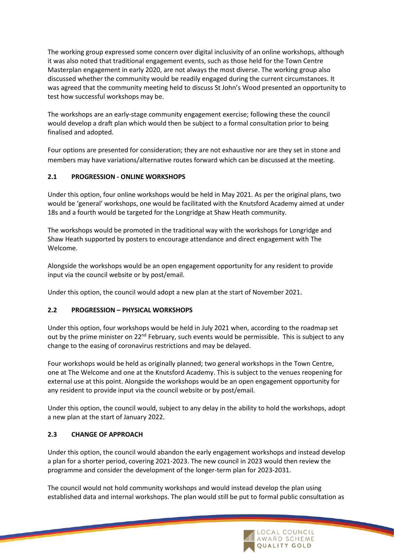The working group expressed some concern over digital inclusivity of an online workshops, although it was also noted that traditional engagement events, such as those held for the Town Centre Masterplan engagement in early 2020, are not always the most diverse. The working group also discussed whether the community would be readily engaged during the current circumstances. It was agreed that the community meeting held to discuss St John's Wood presented an opportunity to test how successful workshops may be.

The workshops are an early-stage community engagement exercise; following these the council would develop a draft plan which would then be subject to a formal consultation prior to being finalised and adopted.

Four options are presented for consideration; they are not exhaustive nor are they set in stone and members may have variations/alternative routes forward which can be discussed at the meeting.

#### **2.1 PROGRESSION - ONLINE WORKSHOPS**

Under this option, four online workshops would be held in May 2021. As per the original plans, two would be 'general' workshops, one would be facilitated with the Knutsford Academy aimed at under 18s and a fourth would be targeted for the Longridge at Shaw Heath community.

The workshops would be promoted in the traditional way with the workshops for Longridge and Shaw Heath supported by posters to encourage attendance and direct engagement with The Welcome.

Alongside the workshops would be an open engagement opportunity for any resident to provide input via the council website or by post/email.

Under this option, the council would adopt a new plan at the start of November 2021.

#### **2.2 PROGRESSION – PHYSICAL WORKSHOPS**

Under this option, four workshops would be held in July 2021 when, according to the roadmap set out by the prime minister on 22<sup>nd</sup> February, such events would be permissible. This is subject to any change to the easing of coronavirus restrictions and may be delayed.

Four workshops would be held as originally planned; two general workshops in the Town Centre, one at The Welcome and one at the Knutsford Academy. This is subject to the venues reopening for external use at this point. Alongside the workshops would be an open engagement opportunity for any resident to provide input via the council website or by post/email.

Under this option, the council would, subject to any delay in the ability to hold the workshops, adopt a new plan at the start of January 2022.

#### **2.3 CHANGE OF APPROACH**

Under this option, the council would abandon the early engagement workshops and instead develop a plan for a shorter period, covering 2021-2023. The new council in 2023 would then review the programme and consider the development of the longer-term plan for 2023-2031.

The council would not hold community workshops and would instead develop the plan using established data and internal workshops. The plan would still be put to formal public consultation as